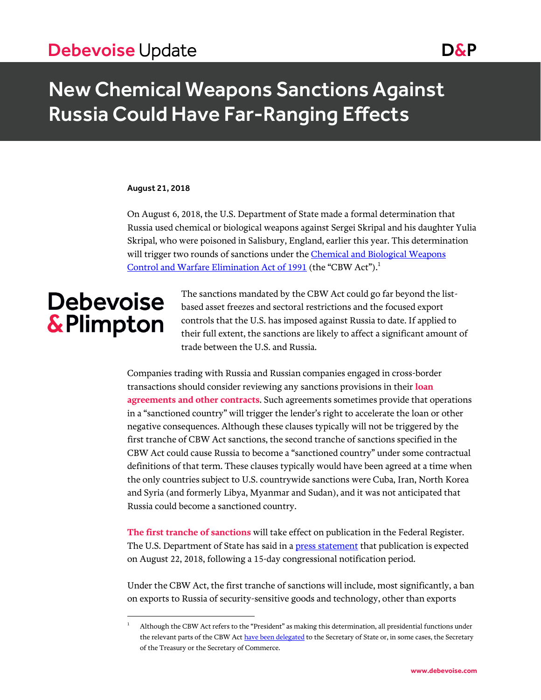## Debevoise Update Date Debevoise Update

## New Chemical Weapons Sanctions Against Russia Could Have Far-Ranging Effects

#### August 21, 2018

On August 6, 2018, the U.S. Department of State made a formal determination that Russia used chemical or biological weapons against Sergei Skripal and his daughter Yulia Skripal, who were poisoned in Salisbury, England, earlier this year. This determination will trigger two rounds of sanctions under the **Chemical and Biological Weapons** [Control and Warfare Elimination Act of 1991](https://www.gpo.gov/fdsys/pkg/USCODE-2016-title22/html/USCODE-2016-title22-chap65.htm) (the "CBW Act").<sup>1</sup>

# **Debevoise &Plimpton**

 $\overline{a}$ 

The sanctions mandated by the CBW Act could go far beyond the listbased asset freezes and sectoral restrictions and the focused export controls that the U.S. has imposed against Russia to date. If applied to their full extent, the sanctions are likely to affect a significant amount of trade between the U.S. and Russia.

Companies trading with Russia and Russian companies engaged in cross-border transactions should consider reviewing any sanctions provisions in their **loan agreements and other contracts**. Such agreements sometimes provide that operations in a "sanctioned country" will trigger the lender's right to accelerate the loan or other negative consequences. Although these clauses typically will not be triggered by the first tranche of CBW Act sanctions, the second tranche of sanctions specified in the CBW Act could cause Russia to become a "sanctioned country" under some contractual definitions of that term. These clauses typically would have been agreed at a time when the only countries subject to U.S. countrywide sanctions were Cuba, Iran, North Korea and Syria (and formerly Libya, Myanmar and Sudan), and it was not anticipated that Russia could become a sanctioned country.

**The first tranche of sanctions** will take effect on publication in the Federal Register. The U.S. Department of State has said in a **press statement** that publication is expected on August 22, 2018, following a 15-day congressional notification period.

Under the CBW Act, the first tranche of sanctions will include, most significantly, a ban on exports to Russia of security-sensitive goods and technology, other than exports

<sup>1</sup> Although the CBW Act refers to the "President" as making this determination, all presidential functions under the relevant parts of the CBW Ac[t have been delegated](https://www.archives.gov/files/federal-register/executive-orders/pdf/12851.pdf) to the Secretary of State or, in some cases, the Secretary of the Treasury or the Secretary of Commerce.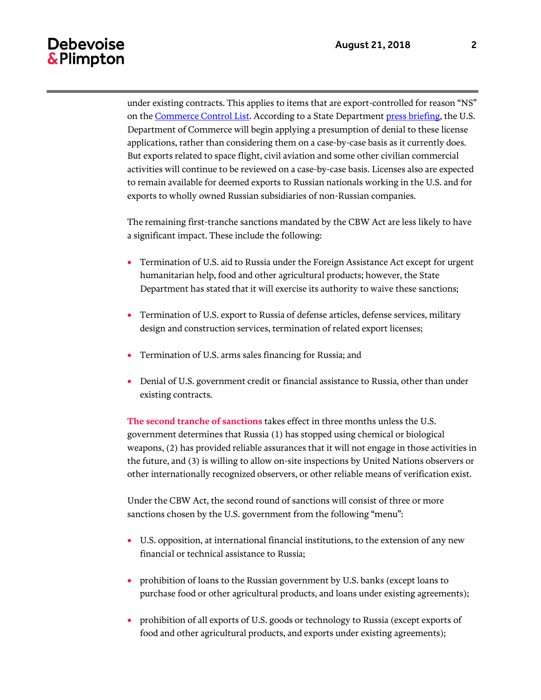### Debevoise & Plimpton

under existing contracts. This applies to items that are export-controlled for reason "NS" on th[e Commerce Control List.](https://www.bis.doc.gov/index.php/regulations/commerce-control-list-ccl) According to a State Department [press briefing,](https://www.state.gov/r/pa/prs/ps/2018/08/285046.htm) the U.S. Department of Commerce will begin applying a presumption of denial to these license applications, rather than considering them on a case-by-case basis as it currently does. But exports related to space flight, civil aviation and some other civilian commercial activities will continue to be reviewed on a case-by-case basis. Licenses also are expected to remain available for deemed exports to Russian nationals working in the U.S. and for exports to wholly owned Russian subsidiaries of non-Russian companies.

The remaining first-tranche sanctions mandated by the CBW Act are less likely to have a significant impact. These include the following:

- Termination of U.S. aid to Russia under the Foreign Assistance Act except for urgent humanitarian help, food and other agricultural products; however, the State Department has stated that it will exercise its authority to waive these sanctions;
- Termination of U.S. export to Russia of defense articles, defense services, military design and construction services, termination of related export licenses;
- Termination of U.S. arms sales financing for Russia; and
- Denial of U.S. government credit or financial assistance to Russia, other than under existing contracts.

**The second tranche of sanctions** takes effect in three months unless the U.S. government determines that Russia (1) has stopped using chemical or biological weapons, (2) has provided reliable assurances that it will not engage in those activities in the future, and (3) is willing to allow on-site inspections by United Nations observers or other internationally recognized observers, or other reliable means of verification exist.

Under the CBW Act, the second round of sanctions will consist of three or more sanctions chosen by the U.S. government from the following "menu":

- U.S. opposition, at international financial institutions, to the extension of any new financial or technical assistance to Russia;
- prohibition of loans to the Russian government by U.S. banks (except loans to purchase food or other agricultural products, and loans under existing agreements);
- prohibition of all exports of U.S. goods or technology to Russia (except exports of food and other agricultural products, and exports under existing agreements);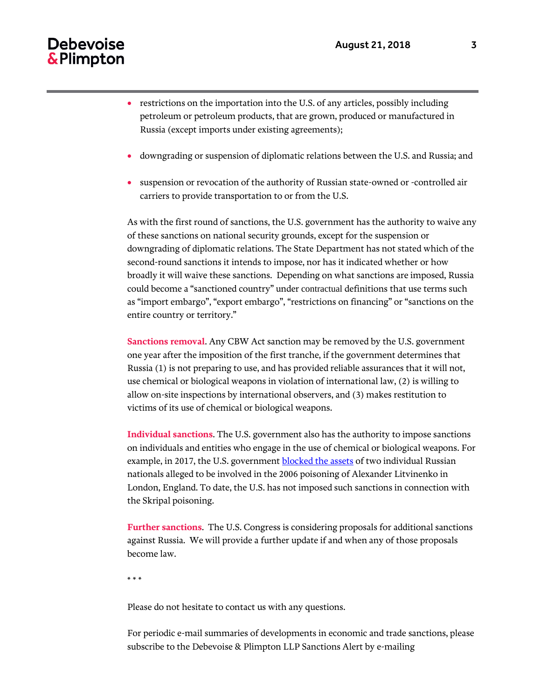### Debevoise & Plimpton

- restrictions on the importation into the U.S. of any articles, possibly including petroleum or petroleum products, that are grown, produced or manufactured in Russia (except imports under existing agreements);
- downgrading or suspension of diplomatic relations between the U.S. and Russia; and
- suspension or revocation of the authority of Russian state-owned or -controlled air carriers to provide transportation to or from the U.S.

As with the first round of sanctions, the U.S. government has the authority to waive any of these sanctions on national security grounds, except for the suspension or downgrading of diplomatic relations. The State Department has not stated which of the second-round sanctions it intends to impose, nor has it indicated whether or how broadly it will waive these sanctions. Depending on what sanctions are imposed, Russia could become a "sanctioned country" under contractual definitions that use terms such as "import embargo", "export embargo", "restrictions on financing" or "sanctions on the entire country or territory."

**Sanctions removal**. Any CBW Act sanction may be removed by the U.S. government one year after the imposition of the first tranche, if the government determines that Russia (1) is not preparing to use, and has provided reliable assurances that it will not, use chemical or biological weapons in violation of international law, (2) is willing to allow on-site inspections by international observers, and (3) makes restitution to victims of its use of chemical or biological weapons.

**Individual sanctions**. The U.S. government also has the authority to impose sanctions on individuals and entities who engage in the use of chemical or biological weapons. For example, in 2017, the U.S. government **blocked the assets** of two individual Russian nationals alleged to be involved in the 2006 poisoning of Alexander Litvinenko in London, England. To date, the U.S. has not imposed such sanctions in connection with the Skripal poisoning.

**Further sanctions**. The U.S. Congress is considering proposals for additional sanctions against Russia. We will provide a further update if and when any of those proposals become law.

\* \* \*

Please do not hesitate to contact us with any questions.

For periodic e-mail summaries of developments in economic and trade sanctions, please subscribe to the Debevoise & Plimpton LLP Sanctions Alert by e-mailing